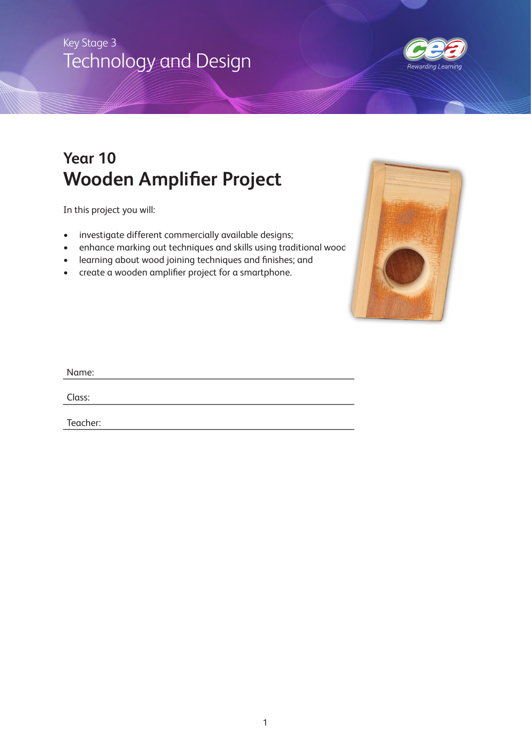# Technology and Design Key Stage 3



# **Year 10 Wooden Amplifier Project**

In this project you will:

- investigate different commercially available designs;
- enhance marking out techniques and skills using traditional wood
- learning about wood joining techniques and finishes; and
- create a wooden amplifier project for a smartphone.



| Name:    |  |  |  |
|----------|--|--|--|
| Class:   |  |  |  |
| Teacher: |  |  |  |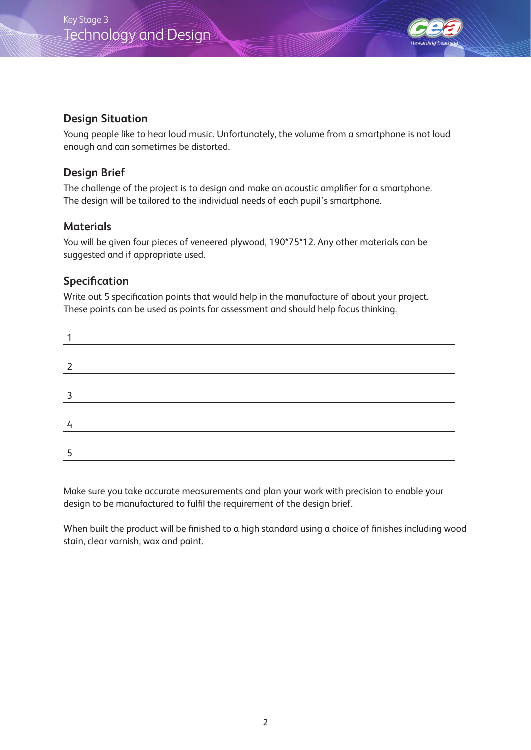



### **Design Situation**

Young people like to hear loud music. Unfortunately, the volume from a smartphone is not loud enough and can sometimes be distorted.

### **Design Brief**

The challenge of the project is to design and make an acoustic amplifier for a smartphone. The design will be tailored to the individual needs of each pupil's smartphone.

### **Materials**

You will be given four pieces of veneered plywood, 190\*75\*12. Any other materials can be suggested and if appropriate used.

### **Specification**

Write out 5 specification points that would help in the manufacture of about your project. These points can be used as points for assessment and should help focus thinking.

| २ |  |  |  |
|---|--|--|--|
|   |  |  |  |
|   |  |  |  |
|   |  |  |  |
|   |  |  |  |

Make sure you take accurate measurements and plan your work with precision to enable your design to be manufactured to fulfil the requirement of the design brief.

When built the product will be finished to a high standard using a choice of finishes including wood stain, clear varnish, wax and paint.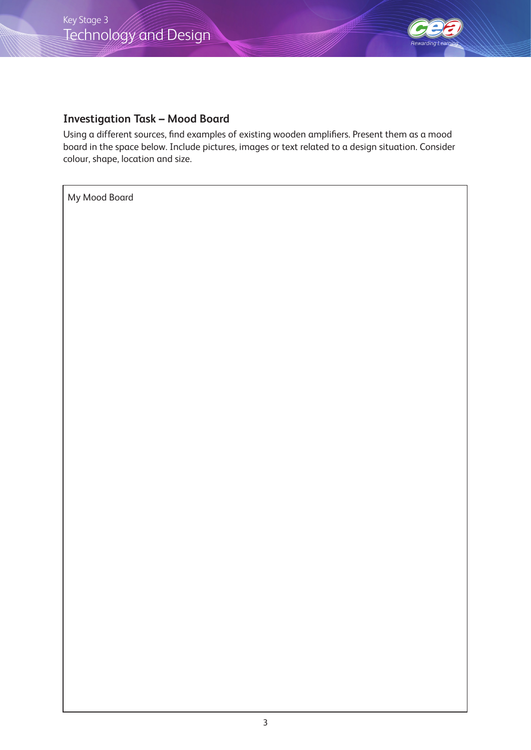

## **Investigation Task – Mood Board**

Using a different sources, find examples of existing wooden amplifiers. Present them as a mood board in the space below. Include pictures, images or text related to a design situation. Consider colour, shape, location and size.

My Mood Board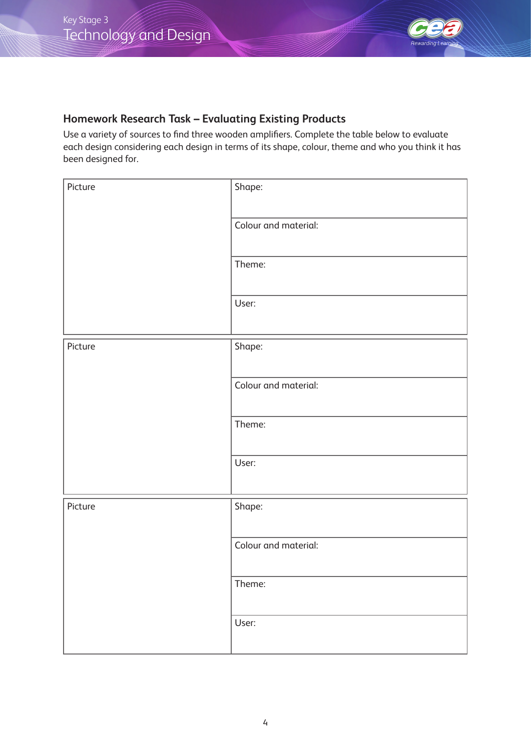

# **Homework Research Task – Evaluating Existing Products**

Use a variety of sources to find three wooden amplifiers. Complete the table below to evaluate each design considering each design in terms of its shape, colour, theme and who you think it has been designed for.

| Picture | Shape:               |
|---------|----------------------|
|         | Colour and material: |
|         | Theme:               |
|         | User:                |
| Picture | Shape:               |
|         | Colour and material: |
|         | Theme:               |
|         | User:                |
| Picture | Shape:               |
|         | Colour and material: |
|         | Theme:               |
|         | User:                |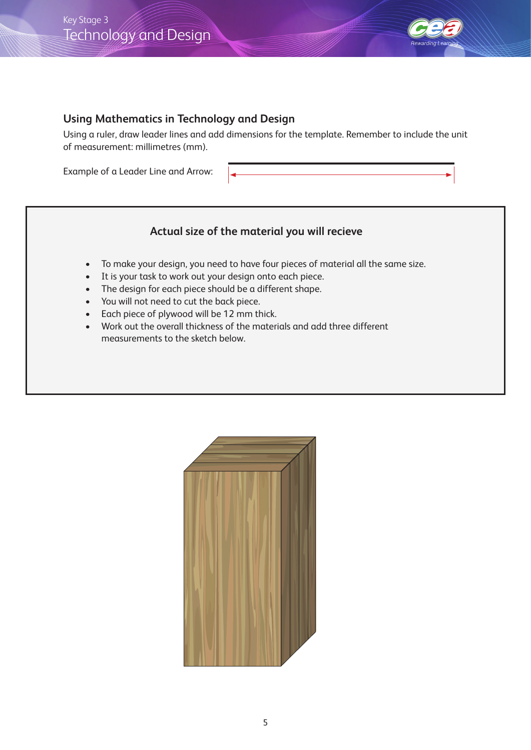

### **Using Mathematics in Technology and Design**

Using a ruler, draw leader lines and add dimensions for the template. Remember to include the unit of measurement: millimetres (mm).

Example of a Leader Line and Arrow:

## **Actual size of the material you will recieve**

- To make your design, you need to have four pieces of material all the same size.
- It is your task to work out your design onto each piece.
- The design for each piece should be a different shape.
- You will not need to cut the back piece.
- Each piece of plywood will be 12 mm thick.
- Work out the overall thickness of the materials and add three different measurements to the sketch below.

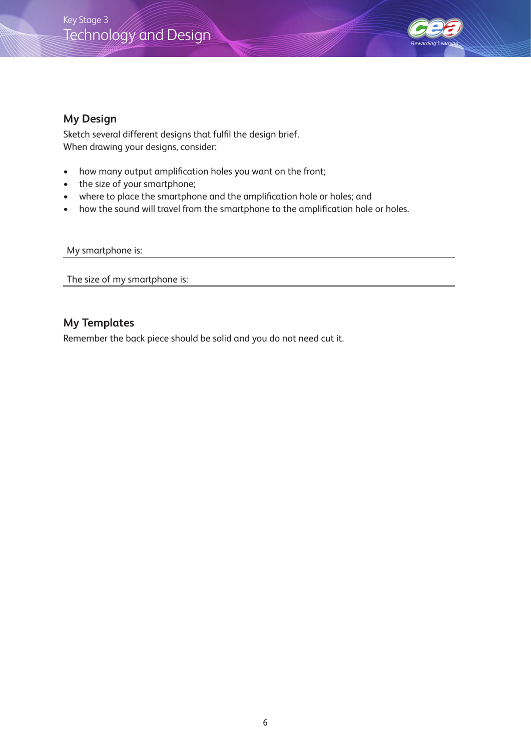# Technology and Design Key Stage 3



#### **My Design**

Sketch several different designs that fulfil the design brief. When drawing your designs, consider:

- how many output amplification holes you want on the front;
- the size of your smartphone;
- where to place the smartphone and the amplification hole or holes; and
- how the sound will travel from the smartphone to the amplification hole or holes.

#### My smartphone is:

The size of my smartphone is:

#### **My Templates**

Remember the back piece should be solid and you do not need cut it.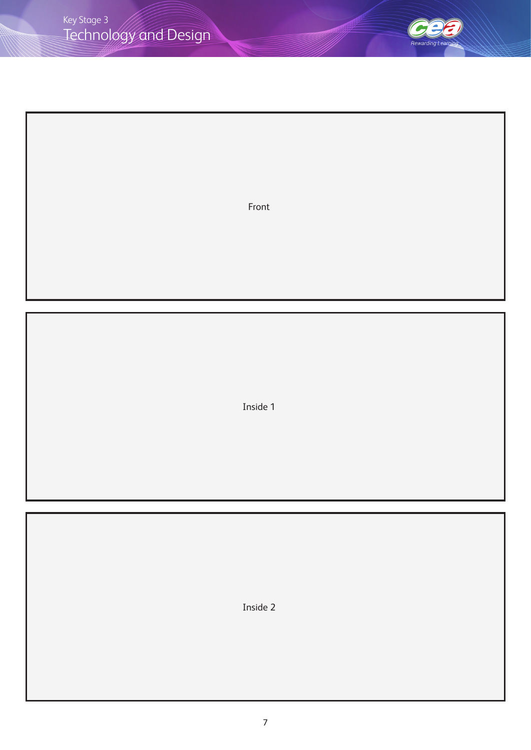

Front

Inside 1

Inside 2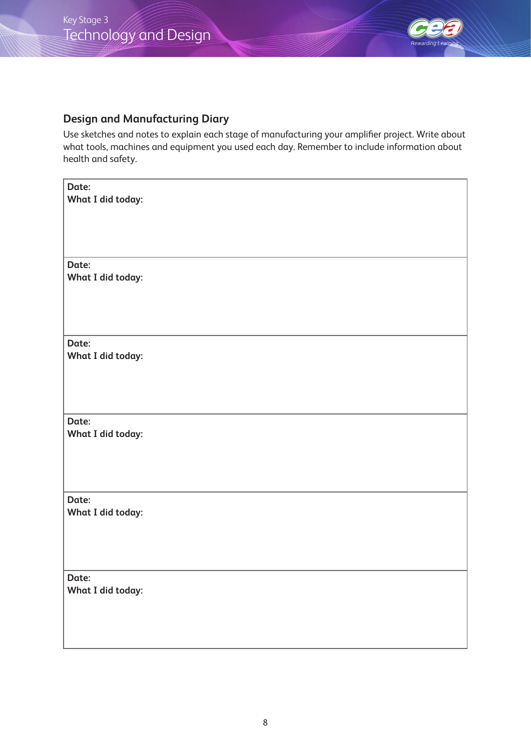

## **Design and Manufacturing Diary**

Use sketches and notes to explain each stage of manufacturing your amplifier project. Write about what tools, machines and equipment you used each day. Remember to include information about health and safety.

| Date:<br><b>What I did today:</b> |
|-----------------------------------|
| Date:<br><b>What I did today:</b> |
|                                   |
| Date:<br>What I did today:        |
| Date:<br><b>What I did today:</b> |
| Date:<br><b>What I did today:</b> |
| Date:<br>What I did today:        |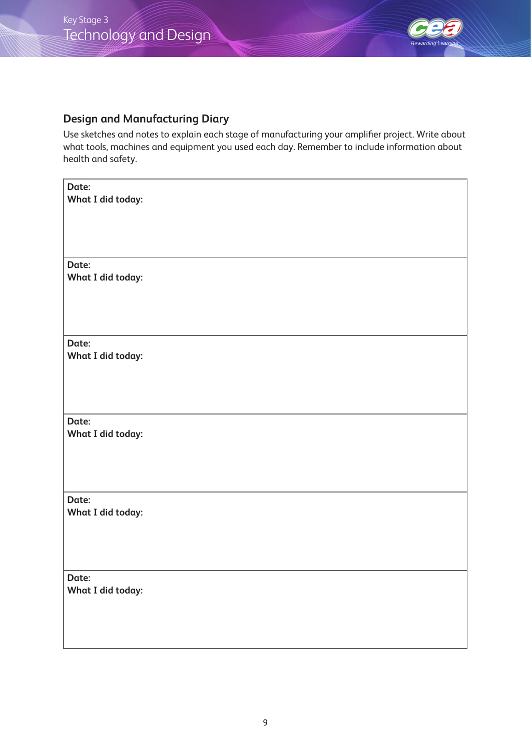

## **Design and Manufacturing Diary**

Use sketches and notes to explain each stage of manufacturing your amplifier project. Write about what tools, machines and equipment you used each day. Remember to include information about health and safety.

| Date:<br><b>What I did today:</b> |
|-----------------------------------|
| Date:<br><b>What I did today:</b> |
|                                   |
| Date:<br>What I did today:        |
| Date:<br><b>What I did today:</b> |
| Date:<br><b>What I did today:</b> |
| Date:<br>What I did today:        |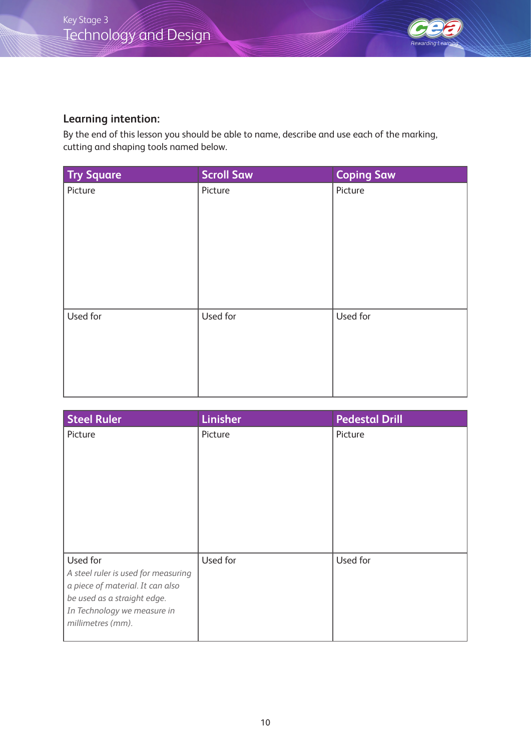

### **Learning intention:**

By the end of this lesson you should be able to name, describe and use each of the marking, cutting and shaping tools named below.

| <b>Try Square</b> | <b>Scroll Saw</b> | <b>Coping Saw</b> |
|-------------------|-------------------|-------------------|
| Picture           | Picture           | Picture           |
| Used for          | Used for          | Used for          |

| <b>Steel Ruler</b>                                                                                                                                                     | <b>Linisher</b> | <b>Pedestal Drill</b> |
|------------------------------------------------------------------------------------------------------------------------------------------------------------------------|-----------------|-----------------------|
| Picture                                                                                                                                                                | Picture         | Picture               |
| Used for<br>A steel ruler is used for measuring<br>a piece of material. It can also<br>be used as a straight edge.<br>In Technology we measure in<br>millimetres (mm). | Used for        | Used for              |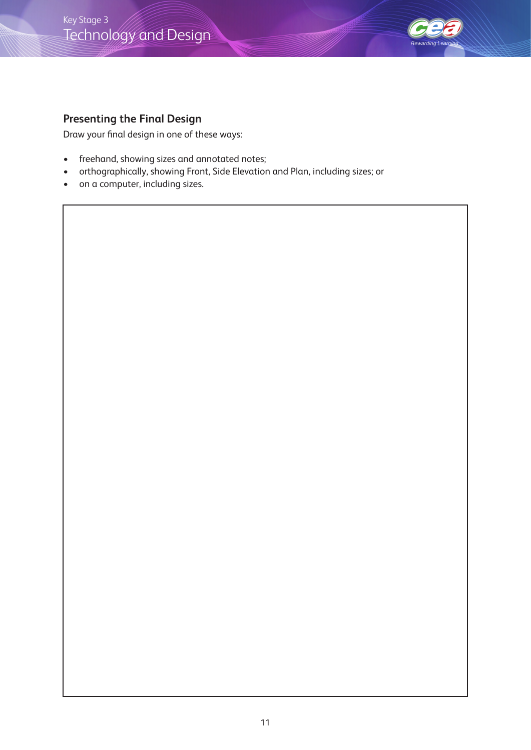# Technology and Design Key Stage 3



## **Presenting the Final Design**

Draw your final design in one of these ways:

- freehand, showing sizes and annotated notes;
- orthographically, showing Front, Side Elevation and Plan, including sizes; or
- on a computer, including sizes.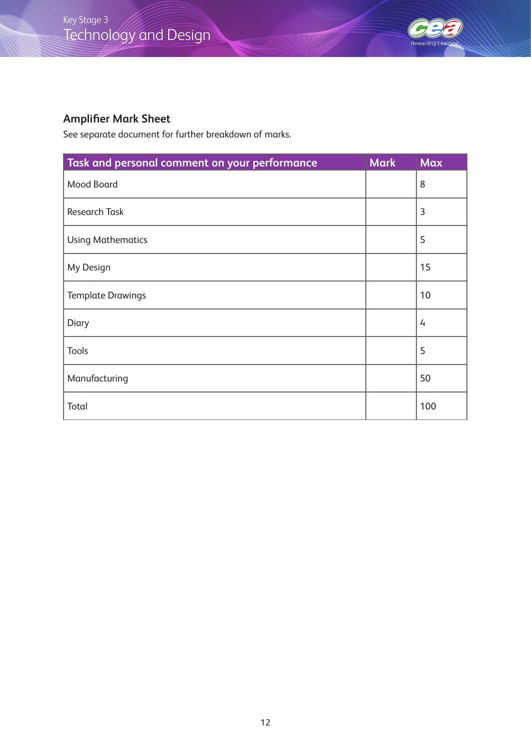

# **Amplifier Mark Sheet**

See separate document for further breakdown of marks.

| Task and personal comment on your performance | <b>Mark</b> | <b>Max</b> |
|-----------------------------------------------|-------------|------------|
| <b>Mood Board</b>                             |             | 8          |
| <b>Research Task</b>                          |             | 3          |
| <b>Using Mathematics</b>                      |             | 5          |
| My Design                                     |             | 15         |
| <b>Template Drawings</b>                      |             | 10         |
| Diary                                         |             | 4          |
| <b>Tools</b>                                  |             | 5          |
| Manufacturing                                 |             | 50         |
| Total                                         |             | 100        |